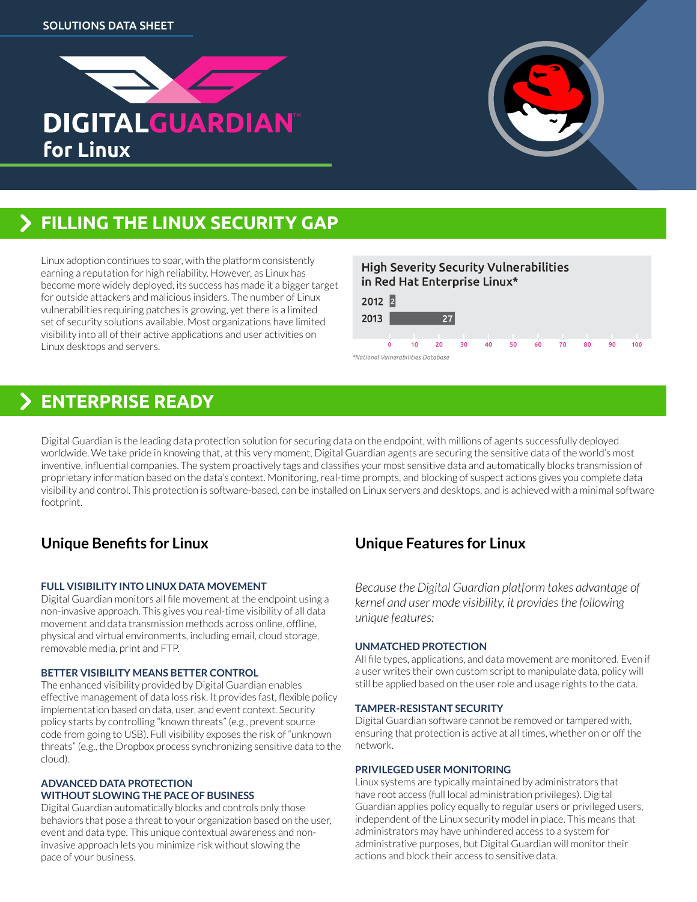



# **FILLING THE LINUX SECURITY GAP**

Linux adoption continues to soar, with the platform consistently earning a reputation for high reliability. However, as Linux has become more widely deployed, its success has made it a bigger target for outside attackers and malicious insiders. The number of Linux vulnerabilities requiring patches is growing, yet there is a limited set of security solutions available. Most organizations have limited visibility into all of their active applications and user activities on Linux desktops and servers.

### **High Severity Security Vulnerabilities** in Red Hat Enterprise Linux\*



## **ENTERPRISE READY**

Digital Guardian is the leading data protection solution for securing data on the endpoint, with millions of agents successfully deployed worldwide. We take pride in knowing that, at this very moment, Digital Guardian agents are securing the sensitive data of the world's most inventive, influential companies. The system proactively tags and classifies your most sensitive data and automatically blocks transmission of proprietary information based on the data's context. Monitoring, real-time prompts, and blocking of suspect actions gives you complete data visibility and control. This protection is software-based, can be installed on Linux servers and desktops, and is achieved with a minimal software footprint.

## **Unique Benefits for Linux**

#### **Full visibility into Linux data movement**

Digital Guardian monitors all file movement at the endpoint using a non-invasive approach. This gives you real-time visibility of all data movement and data transmission methods across online, offline, physical and virtual environments, including email, cloud storage, removable media, print and FTP.

#### **Better visibility means better control**

The enhanced visibility provided by Digital Guardian enables effective management of data loss risk. It provides fast, flexible policy implementation based on data, user, and event context. Security policy starts by controlling "known threats" (e.g., prevent source code from going to USB). Full visibility exposes the risk of "unknown threats" (e.g., the Dropbox process synchronizing sensitive data to the cloud).

#### **Advanced data protection without slowing the pace of business**

Digital Guardian automatically blocks and controls only those behaviors that pose a threat to your organization based on the user, event and data type. This unique contextual awareness and noninvasive approach lets you minimize risk without slowing the pace of your business.

## **Unique Features for Linux**

*Because the Digital Guardian platform takes advantage of kernel and user mode visibility, it provides the following unique features:*

#### **Unmatched protection**

All file types, applications, and data movement are monitored. Even if a user writes their own custom script to manipulate data, policy will still be applied based on the user role and usage rights to the data.

#### **Tamper-resistant security**

Digital Guardian software cannot be removed or tampered with, ensuring that protection is active at all times, whether on or off the network.

#### **Privileged user monitoring**

Linux systems are typically maintained by administrators that have root access (full local administration privileges). Digital Guardian applies policy equally to regular users or privileged users, independent of the Linux security model in place. This means that administrators may have unhindered access to a system for administrative purposes, but Digital Guardian will monitor their actions and block their access to sensitive data.